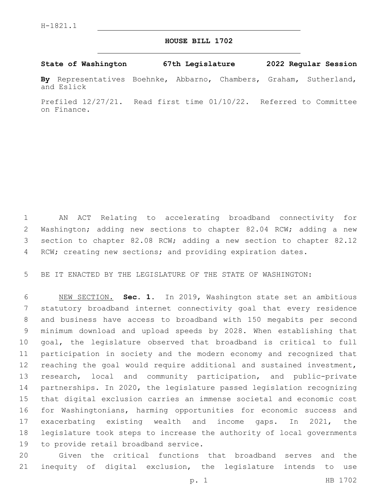## **HOUSE BILL 1702**

## **State of Washington 67th Legislature 2022 Regular Session**

**By** Representatives Boehnke, Abbarno, Chambers, Graham, Sutherland, and Eslick

Prefiled 12/27/21. Read first time 01/10/22. Referred to Committee on Finance.

 AN ACT Relating to accelerating broadband connectivity for Washington; adding new sections to chapter 82.04 RCW; adding a new section to chapter 82.08 RCW; adding a new section to chapter 82.12 4 RCW; creating new sections; and providing expiration dates.

BE IT ENACTED BY THE LEGISLATURE OF THE STATE OF WASHINGTON:

 NEW SECTION. **Sec. 1.** In 2019, Washington state set an ambitious statutory broadband internet connectivity goal that every residence and business have access to broadband with 150 megabits per second minimum download and upload speeds by 2028. When establishing that goal, the legislature observed that broadband is critical to full participation in society and the modern economy and recognized that reaching the goal would require additional and sustained investment, research, local and community participation, and public-private partnerships. In 2020, the legislature passed legislation recognizing that digital exclusion carries an immense societal and economic cost for Washingtonians, harming opportunities for economic success and exacerbating existing wealth and income gaps. In 2021, the legislature took steps to increase the authority of local governments to provide retail broadband service.

 Given the critical functions that broadband serves and the inequity of digital exclusion, the legislature intends to use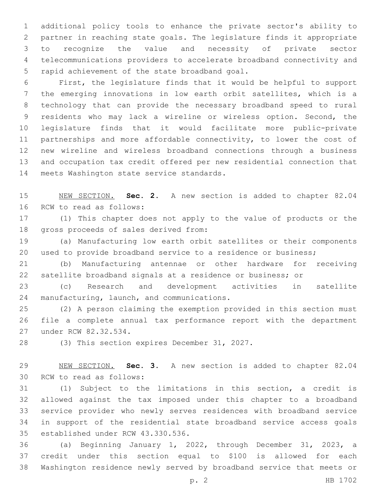additional policy tools to enhance the private sector's ability to partner in reaching state goals. The legislature finds it appropriate to recognize the value and necessity of private sector telecommunications providers to accelerate broadband connectivity and 5 rapid achievement of the state broadband goal.

 First, the legislature finds that it would be helpful to support the emerging innovations in low earth orbit satellites, which is a technology that can provide the necessary broadband speed to rural residents who may lack a wireline or wireless option. Second, the legislature finds that it would facilitate more public-private partnerships and more affordable connectivity, to lower the cost of new wireline and wireless broadband connections through a business and occupation tax credit offered per new residential connection that 14 meets Washington state service standards.

 NEW SECTION. **Sec. 2.** A new section is added to chapter 82.04 16 RCW to read as follows:

 (1) This chapter does not apply to the value of products or the 18 gross proceeds of sales derived from:

 (a) Manufacturing low earth orbit satellites or their components used to provide broadband service to a residence or business;

 (b) Manufacturing antennae or other hardware for receiving satellite broadband signals at a residence or business; or

 (c) Research and development activities in satellite 24 manufacturing, launch, and communications.

 (2) A person claiming the exemption provided in this section must file a complete annual tax performance report with the department 27 under RCW 82.32.534.

28 (3) This section expires December 31, 2027.

 NEW SECTION. **Sec. 3.** A new section is added to chapter 82.04 30 RCW to read as follows:

 (1) Subject to the limitations in this section, a credit is allowed against the tax imposed under this chapter to a broadband service provider who newly serves residences with broadband service in support of the residential state broadband service access goals 35 established under RCW 43.330.536.

 (a) Beginning January 1, 2022, through December 31, 2023, a credit under this section equal to \$100 is allowed for each Washington residence newly served by broadband service that meets or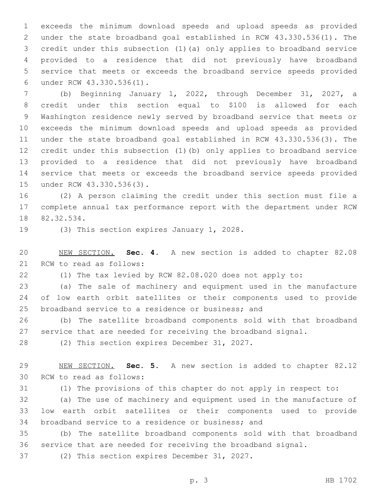exceeds the minimum download speeds and upload speeds as provided under the state broadband goal established in RCW 43.330.536(1). The credit under this subsection (1)(a) only applies to broadband service provided to a residence that did not previously have broadband service that meets or exceeds the broadband service speeds provided under RCW 43.330.536(1).6

 (b) Beginning January 1, 2022, through December 31, 2027, a credit under this section equal to \$100 is allowed for each Washington residence newly served by broadband service that meets or exceeds the minimum download speeds and upload speeds as provided under the state broadband goal established in RCW 43.330.536(3). The credit under this subsection (1)(b) only applies to broadband service provided to a residence that did not previously have broadband service that meets or exceeds the broadband service speeds provided 15 under RCW 43.330.536(3).

 (2) A person claiming the credit under this section must file a complete annual tax performance report with the department under RCW 18 82.32.534.

19 (3) This section expires January 1, 2028.

 NEW SECTION. **Sec. 4.** A new section is added to chapter 82.08 21 RCW to read as follows:

(1) The tax levied by RCW 82.08.020 does not apply to:

 (a) The sale of machinery and equipment used in the manufacture of low earth orbit satellites or their components used to provide 25 broadband service to a residence or business; and

 (b) The satellite broadband components sold with that broadband service that are needed for receiving the broadband signal.

28 (2) This section expires December 31, 2027.

 NEW SECTION. **Sec. 5.** A new section is added to chapter 82.12 30 RCW to read as follows:

(1) The provisions of this chapter do not apply in respect to:

 (a) The use of machinery and equipment used in the manufacture of low earth orbit satellites or their components used to provide 34 broadband service to a residence or business; and

 (b) The satellite broadband components sold with that broadband service that are needed for receiving the broadband signal.

37 (2) This section expires December 31, 2027.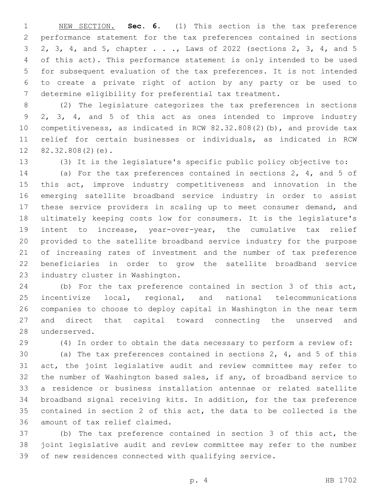NEW SECTION. **Sec. 6.** (1) This section is the tax preference performance statement for the tax preferences contained in sections 2, 3, 4, and 5, chapter . . ., Laws of 2022 (sections 2, 3, 4, and 5 of this act). This performance statement is only intended to be used for subsequent evaluation of the tax preferences. It is not intended to create a private right of action by any party or be used to determine eligibility for preferential tax treatment.

 (2) The legislature categorizes the tax preferences in sections 2, 3, 4, and 5 of this act as ones intended to improve industry competitiveness, as indicated in RCW 82.32.808(2)(b), and provide tax relief for certain businesses or individuals, as indicated in RCW  $12 \quad 82.32.808(2)(e)$ .

(3) It is the legislature's specific public policy objective to:

 (a) For the tax preferences contained in sections 2, 4, and 5 of this act, improve industry competitiveness and innovation in the emerging satellite broadband service industry in order to assist these service providers in scaling up to meet consumer demand, and ultimately keeping costs low for consumers. It is the legislature's intent to increase, year-over-year, the cumulative tax relief provided to the satellite broadband service industry for the purpose of increasing rates of investment and the number of tax preference beneficiaries in order to grow the satellite broadband service 23 industry cluster in Washington.

 (b) For the tax preference contained in section 3 of this act, incentivize local, regional, and national telecommunications companies to choose to deploy capital in Washington in the near term and direct that capital toward connecting the unserved and 28 underserved.

(4) In order to obtain the data necessary to perform a review of:

 (a) The tax preferences contained in sections 2, 4, and 5 of this act, the joint legislative audit and review committee may refer to the number of Washington based sales, if any, of broadband service to a residence or business installation antennae or related satellite broadband signal receiving kits. In addition, for the tax preference contained in section 2 of this act, the data to be collected is the 36 amount of tax relief claimed.

 (b) The tax preference contained in section 3 of this act, the joint legislative audit and review committee may refer to the number of new residences connected with qualifying service.